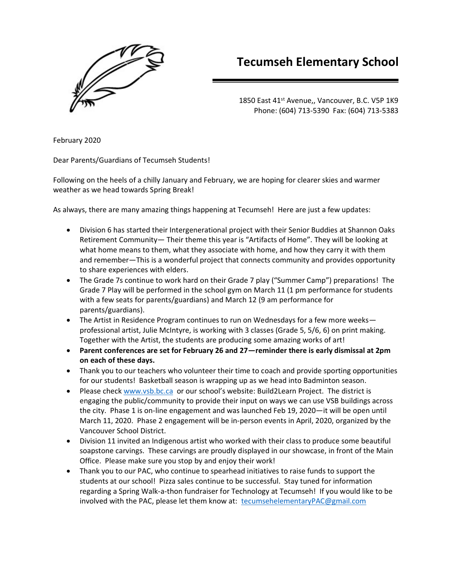

## **Tecumseh Elementary School**

1850 East 41<sup>st</sup> Avenue,, Vancouver, B.C. V5P 1K9 Phone: (604) 713-5390 Fax: (604) 713-5383

February 2020

Dear Parents/Guardians of Tecumseh Students!

Following on the heels of a chilly January and February, we are hoping for clearer skies and warmer weather as we head towards Spring Break!

As always, there are many amazing things happening at Tecumseh! Here are just a few updates:

- Division 6 has started their Intergenerational project with their Senior Buddies at Shannon Oaks Retirement Community— Their theme this year is "Artifacts of Home". They will be looking at what home means to them, what they associate with home, and how they carry it with them and remember—This is a wonderful project that connects community and provides opportunity to share experiences with elders.
- The Grade 7s continue to work hard on their Grade 7 play ("Summer Camp") preparations! The Grade 7 Play will be performed in the school gym on March 11 (1 pm performance for students with a few seats for parents/guardians) and March 12 (9 am performance for parents/guardians).
- The Artist in Residence Program continues to run on Wednesdays for a few more weeks professional artist, Julie McIntyre, is working with 3 classes (Grade 5, 5/6, 6) on print making. Together with the Artist, the students are producing some amazing works of art!
- **Parent conferences are set for February 26 and 27—reminder there is early dismissal at 2pm on each of these days.**
- Thank you to our teachers who volunteer their time to coach and provide sporting opportunities for our students! Basketball season is wrapping up as we head into Badminton season.
- Please chec[k www.vsb.bc.ca](http://www.vsb.bc.ca/) or our school's website: Build2Learn Project. The district is engaging the public/community to provide their input on ways we can use VSB buildings across the city. Phase 1 is on-line engagement and was launched Feb 19, 2020—it will be open until March 11, 2020. Phase 2 engagement will be in-person events in April, 2020, organized by the Vancouver School District.
- Division 11 invited an Indigenous artist who worked with their class to produce some beautiful soapstone carvings. These carvings are proudly displayed in our showcase, in front of the Main Office. Please make sure you stop by and enjoy their work!
- Thank you to our PAC, who continue to spearhead initiatives to raise funds to support the students at our school! Pizza sales continue to be successful. Stay tuned for information regarding a Spring Walk-a-thon fundraiser for Technology at Tecumseh! If you would like to be involved with the PAC, please let them know at: [tecumsehelementaryPAC@gmail.com](mailto:tecumsehelementaryPAC@gmail.com)